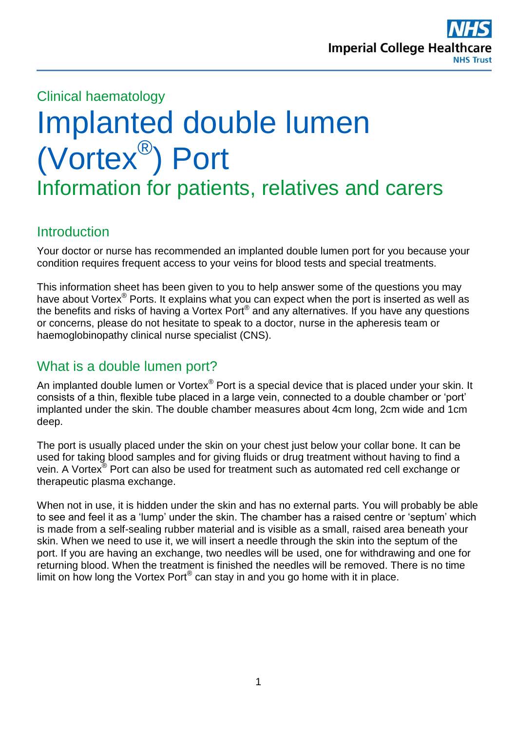

#### Clinical haematology

# Implanted double lumen (Vortex® ) Port Information for patients, relatives and carers

#### **Introduction**

Your doctor or nurse has recommended an implanted double lumen port for you because your condition requires frequent access to your veins for blood tests and special treatments.

This information sheet has been given to you to help answer some of the questions you may have about Vortex<sup>®</sup> Ports. It explains what you can expect when the port is inserted as well as the benefits and risks of having a Vortex Port® and any alternatives. If you have any questions or concerns, please do not hesitate to speak to a doctor, nurse in the apheresis team or haemoglobinopathy clinical nurse specialist (CNS).

## What is a double lumen port?

An implanted double lumen or Vortex<sup>®</sup> Port is a special device that is placed under your skin. It consists of a thin, flexible tube placed in a large vein, connected to a double chamber or 'port' implanted under the skin. The double chamber measures about 4cm long, 2cm wide and 1cm deep.

The port is usually placed under the skin on your chest just below your collar bone. It can be used for taking blood samples and for giving fluids or drug treatment without having to find a vein. A Vortex® Port can also be used for treatment such as automated red cell exchange or therapeutic plasma exchange.

When not in use, it is hidden under the skin and has no external parts. You will probably be able to see and feel it as a 'lump' under the skin. The chamber has a raised centre or 'septum' which is made from a self-sealing rubber material and is visible as a small, raised area beneath your skin. When we need to use it, we will insert a needle through the skin into the septum of the port. If you are having an exchange, two needles will be used, one for withdrawing and one for returning blood. When the treatment is finished the needles will be removed. There is no time limit on how long the Vortex Port® can stay in and you go home with it in place.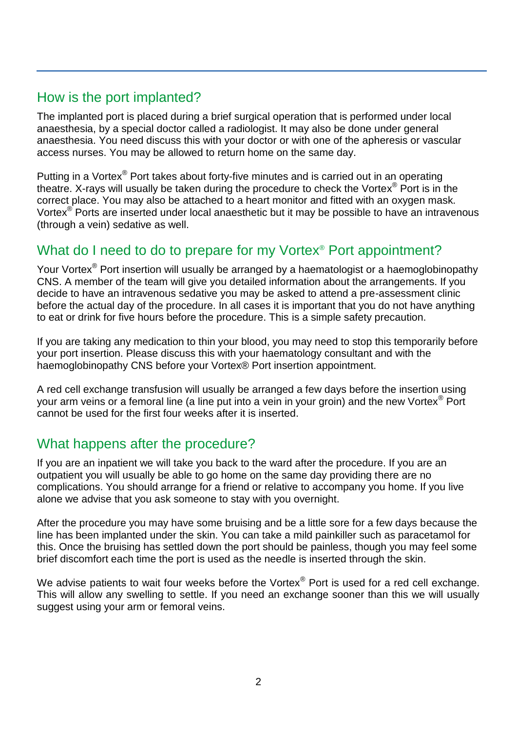## How is the port implanted?

The implanted port is placed during a brief surgical operation that is performed under local anaesthesia, by a special doctor called a radiologist. It may also be done under general anaesthesia. You need discuss this with your doctor or with one of the apheresis or vascular access nurses. You may be allowed to return home on the same day.

Putting in a Vortex® Port takes about forty-five minutes and is carried out in an operating theatre. X-rays will usually be taken during the procedure to check the Vortex® Port is in the correct place. You may also be attached to a heart monitor and fitted with an oxygen mask. Vortex® Ports are inserted under local anaesthetic but it may be possible to have an intravenous (through a vein) sedative as well.

# What do I need to do to prepare for my Vortex<sup>®</sup> Port appointment?

Your Vortex<sup>®</sup> Port insertion will usually be arranged by a haematologist or a haemoglobinopathy CNS. A member of the team will give you detailed information about the arrangements. If you decide to have an intravenous sedative you may be asked to attend a pre-assessment clinic before the actual day of the procedure. In all cases it is important that you do not have anything to eat or drink for five hours before the procedure. This is a simple safety precaution.

If you are taking any medication to thin your blood, you may need to stop this temporarily before your port insertion. Please discuss this with your haematology consultant and with the haemoglobinopathy CNS before your Vortex® Port insertion appointment.

A red cell exchange transfusion will usually be arranged a few days before the insertion using your arm veins or a femoral line (a line put into a vein in your groin) and the new Vortex® Port cannot be used for the first four weeks after it is inserted.

## What happens after the procedure?

If you are an inpatient we will take you back to the ward after the procedure. If you are an outpatient you will usually be able to go home on the same day providing there are no complications. You should arrange for a friend or relative to accompany you home. If you live alone we advise that you ask someone to stay with you overnight.

After the procedure you may have some bruising and be a little sore for a few days because the line has been implanted under the skin. You can take a mild painkiller such as paracetamol for this. Once the bruising has settled down the port should be painless, though you may feel some brief discomfort each time the port is used as the needle is inserted through the skin.

We advise patients to wait four weeks before the Vortex® Port is used for a red cell exchange. This will allow any swelling to settle. If you need an exchange sooner than this we will usually suggest using your arm or femoral veins.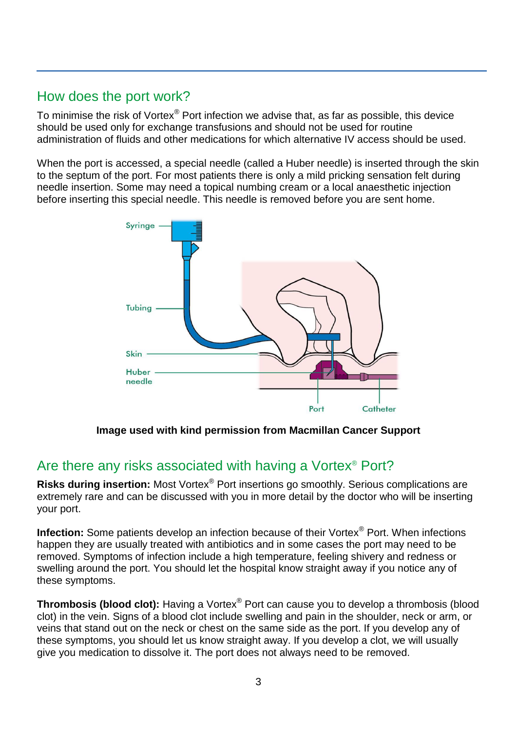# How does the port work?

To minimise the risk of Vortex $\mathscr P$  Port infection we advise that, as far as possible, this device should be used only for exchange transfusions and should not be used for routine administration of fluids and other medications for which alternative IV access should be used.

When the port is accessed, a special needle (called a Huber needle) is inserted through the skin to the septum of the port. For most patients there is only a mild pricking sensation felt during needle insertion. Some may need a topical numbing cream or a local anaesthetic injection before inserting this special needle. This needle is removed before you are sent home.



**Image used with kind permission from Macmillan Cancer Support**

# Are there any risks associated with having a Vortex® Port?

**Risks during insertion:** Most Vortex® Port insertions go smoothly. Serious complications are extremely rare and can be discussed with you in more detail by the doctor who will be inserting your port.

**Infection:** Some patients develop an infection because of their Vortex® Port. When infections happen they are usually treated with antibiotics and in some cases the port may need to be removed. Symptoms of infection include a high temperature, feeling shivery and redness or swelling around the port. You should let the hospital know straight away if you notice any of these symptoms.

**Thrombosis (blood clot):** Having a Vortex<sup>®</sup> Port can cause you to develop a thrombosis (blood clot) in the vein. Signs of a blood clot include swelling and pain in the shoulder, neck or arm, or veins that stand out on the neck or chest on the same side as the port. If you develop any of these symptoms, you should let us know straight away. If you develop a clot, we will usually give you medication to dissolve it. The port does not always need to be removed.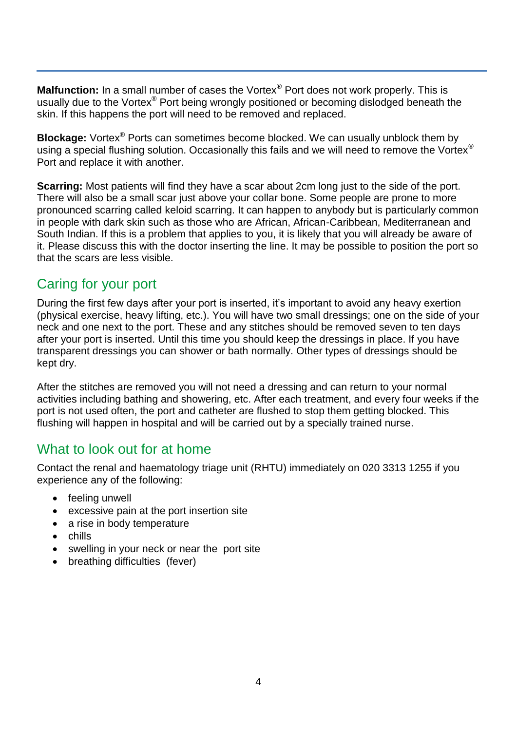**Malfunction:** In a small number of cases the Vortex® Port does not work properly. This is usually due to the Vortex® Port being wrongly positioned or becoming dislodged beneath the skin. If this happens the port will need to be removed and replaced.

**Blockage:** Vortex® Ports can sometimes become blocked. We can usually unblock them by using a special flushing solution. Occasionally this fails and we will need to remove the Vortex® Port and replace it with another.

**Scarring:** Most patients will find they have a scar about 2cm long just to the side of the port. There will also be a small scar just above your collar bone. Some people are prone to more pronounced scarring called keloid scarring. It can happen to anybody but is particularly common in people with dark skin such as those who are African, African-Caribbean, Mediterranean and South Indian. If this is a problem that applies to you, it is likely that you will already be aware of it. Please discuss this with the doctor inserting the line. It may be possible to position the port so that the scars are less visible.

# Caring for your port

During the first few days after your port is inserted, it's important to avoid any heavy exertion (physical exercise, heavy lifting, etc.). You will have two small dressings; one on the side of your neck and one next to the port. These and any stitches should be removed seven to ten days after your port is inserted. Until this time you should keep the dressings in place. If you have transparent dressings you can shower or bath normally. Other types of dressings should be kept dry.

After the stitches are removed you will not need a dressing and can return to your normal activities including bathing and showering, etc. After each treatment, and every four weeks if the port is not used often, the port and catheter are flushed to stop them getting blocked. This flushing will happen in hospital and will be carried out by a specially trained nurse.

## What to look out for at home

Contact the renal and haematology triage unit (RHTU) immediately on 020 3313 1255 if you experience any of the following:

- feeling unwell
- excessive pain at the port insertion site
- a rise in body temperature
- chills
- swelling in your neck or near the port site
- breathing difficulties (fever)